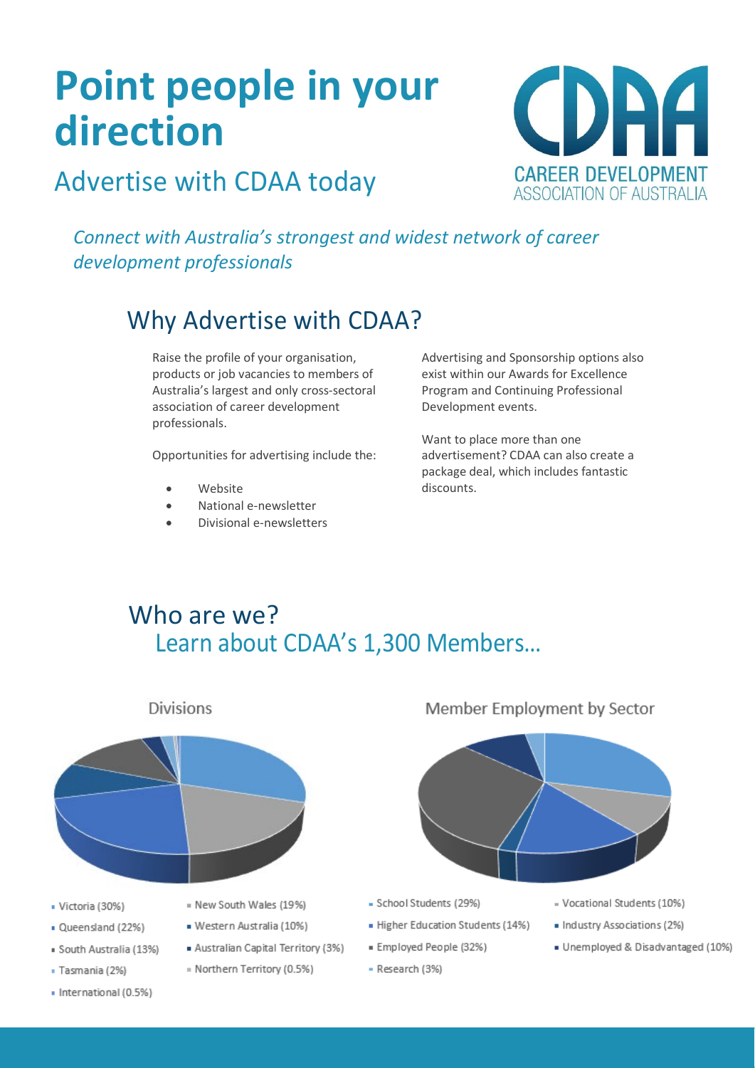# **Point people in your direction**



# Advertise with CDAA today

*Connect with Australia's strongest and widest network of career development professionals*

# Why Advertise with CDAA?

Raise the profile of your organisation, products or job vacancies to members of Australia's largest and only cross-sectoral association of career development professionals.

Opportunities for advertising include the:

- Website
- National e-newsletter
- Divisional e-newsletters

Advertising and Sponsorship options also exist within our Awards for Excellence Program and Continuing Professional Development events.

Want to place more than one advertisement? CDAA can also create a package deal, which includes fantastic discounts.

## Who are we? Learn about CDAA's 1,300 Members…



**Divisions** 

- · Victoria (30%)
- · Queensland (22%)
- · South Australia (13%)
- · Tasmania (2%)
- · International (0.5%)
- = New South Wales (19%)
- · Western Australia (10%)
- Australian Capital Territory (3%)
- = Northern Territory (0.5%)





- School Students (29%)
- Higher Education Students (14%)
- · Employed People (32%)
- Research (3%)
- Vocational Students (10%)
- · Industry Associations (2%)
- · Unemployed & Disadvantaged (10%)